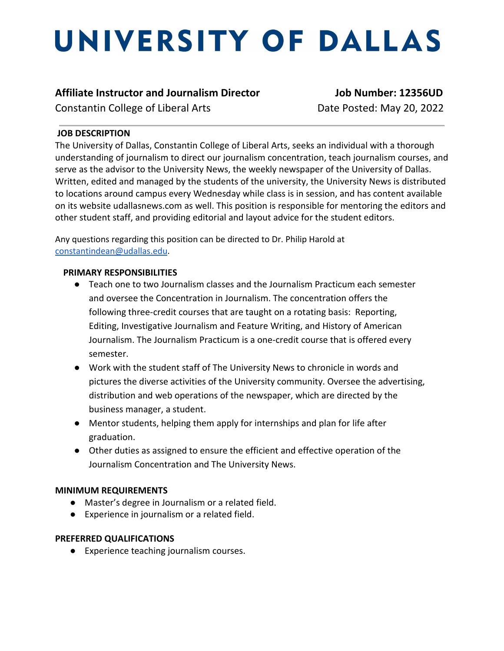# UNIVERSITY OF DALLAS

## **Affiliate Instructor and Journalism Director Job Number: 12356UD**

Constantin College of Liberal ArtsDate Posted: May 20, 2022

### **JOB DESCRIPTION**

The University of Dallas, Constantin College of Liberal Arts, seeks an individual with a thorough understanding of journalism to direct our journalism concentration, teach journalism courses, and serve as the advisor to the University News, the weekly newspaper of the University of Dallas. Written, edited and managed by the students of the university, the University News is distributed to locations around campus every Wednesday while class is in session, and has content available on its website udallasnews.com as well. This position is responsible for mentoring the editors and other student staff, and providing editorial and layout advice for the student editors.

Any questions regarding this position can be directed to Dr. Philip Harold at [constantindean@udallas.edu.](mailto:constantindean@udallas.edu)

### **PRIMARY RESPONSIBILITIES**

- Teach one to two Journalism classes and the Journalism Practicum each semester and oversee the Concentration in Journalism. The concentration offers the following three-credit courses that are taught on a rotating basis: Reporting, Editing, Investigative Journalism and Feature Writing, and History of American Journalism. The Journalism Practicum is a one-credit course that is offered every semester.
- Work with the student staff of The University News to chronicle in words and pictures the diverse activities of the University community. Oversee the advertising, distribution and web operations of the newspaper, which are directed by the business manager, a student.
- Mentor students, helping them apply for internships and plan for life after graduation.
- Other duties as assigned to ensure the efficient and effective operation of the Journalism Concentration and The University News.

### **MINIMUM REQUIREMENTS**

- Master's degree in Journalism or a related field.
- Experience in journalism or a related field.

### **PREFERRED QUALIFICATIONS**

● Experience teaching journalism courses.